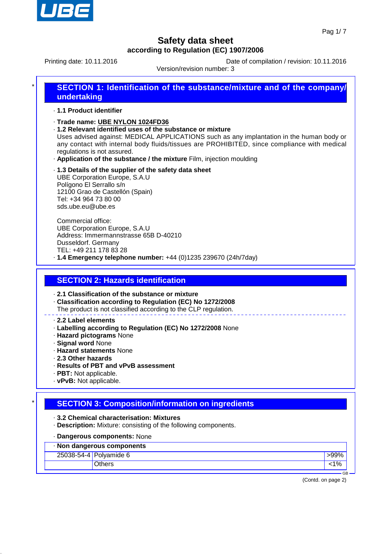

Printing date: 10.11.2016 **Date of compilation / revision: 10.11.2016** 

Version/revision number: 3

# **SECTION 1: Identification of the substance/mixture and of the company/ undertaking**

#### · **1.1 Product identifier**

- · **Trade name: UBE NYLON 1024FD36**
- · **1.2 Relevant identified uses of the substance or mixture**

Uses advised against: MEDICAL APPLICATIONS such as any implantation in the human body or any contact with internal body fluids/tissues are PROHIBITED, since compliance with medical regulations is not assured.

- · **Application of the substance / the mixture** Film, injection moulding
- · **1.3 Details of the supplier of the safety data sheet** UBE Corporation Europe, S.A.U Polígono El Serrallo s/n 12100 Grao de Castellón (Spain) Tel: +34 964 73 80 00 sds.ube.eu@ube.es

Commercial office: UBE Corporation Europe, S.A.U Address: Immermannstrasse 65B D-40210 Dusseldorf. Germany TEL: +49 211 178 83 28 · **1.4 Emergency telephone number:** +44 (0)1235 239670 (24h/7day)

## **SECTION 2: Hazards identification**

· **2.1 Classification of the substance or mixture**

· **Classification according to Regulation (EC) No 1272/2008**

The product is not classified according to the CLP regulation.

#### · **2.2 Label elements**

- · **Labelling according to Regulation (EC) No 1272/2008** None
- · **Hazard pictograms** None
- · **Signal word** None
- · **Hazard statements** None
- · **2.3 Other hazards**
- · **Results of PBT and vPvB assessment**
- · **PBT:** Not applicable.
- · **vPvB:** Not applicable.

## **SECTION 3: Composition/information on ingredients**

- · **3.2 Chemical characterisation: Mixtures**
- · **Description:** Mixture: consisting of the following components.
- · **Dangerous components:** None

#### · **Non dangerous components**

| $10011$ aanigeread components |                        |    |
|-------------------------------|------------------------|----|
|                               | 25038-54-4 Polyamide 6 |    |
|                               |                        | 7с |
|                               |                        | GB |

(Contd. on page 2)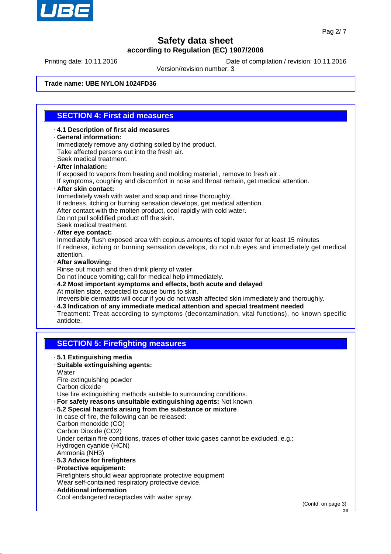

Printing date: 10.11.2016 **Date of compilation / revision: 10.11.2016** 

Version/revision number: 3

#### **Trade name: UBE NYLON 1024FD36**

## **SECTION 4: First aid measures**

- · **4.1 Description of first aid measures** · **General information:** Immediately remove any clothing soiled by the product. Take affected persons out into the fresh air. Seek medical treatment.
- · **After inhalation:**
- If exposed to vapors from heating and molding material , remove to fresh air .

If symptoms, coughing and discomfort in nose and throat remain, get medical attention.

- · **After skin contact:**
	- Immediately wash with water and soap and rinse thoroughly.
- If redness, itching or burning sensation develops, get medical attention.
- After contact with the molten product, cool rapidly with cold water.
- Do not pull solidified product off the skin.
- Seek medical treatment.
- · **After eye contact:**

Inmediately flush exposed area with copious amounts of tepid water for at least 15 minutes If redness, itching or burning sensation develops, do not rub eyes and immediately get medical attention.

· **After swallowing:**

Rinse out mouth and then drink plenty of water.

Do not induce vomiting; call for medical help immediately.

· **4.2 Most important symptoms and effects, both acute and delayed** At molten state, expected to cause burns to skin. Irreversible dermatitis will occur if you do not wash affected skin immediately and thoroughly.

· **4.3 Indication of any immediate medical attention and special treatment needed** Treatment: Treat according to symptoms (decontamination, vital functions), no known specific

antidote.

## **SECTION 5: Firefighting measures**

- · **5.1 Extinguishing media**
- · **Suitable extinguishing agents:**
- **Water**
- Fire-extinguishing powder
- Carbon dioxide
- Use fire extinguishing methods suitable to surrounding conditions.
- · **For safety reasons unsuitable extinguishing agents:** Not known
- · **5.2 Special hazards arising from the substance or mixture**
- In case of fire, the following can be released: Carbon monoxide (CO) Carbon Dioxide (CO2) Under certain fire conditions, traces of other toxic gases cannot be excluded, e.g.: Hydrogen cyanide (HCN) Ammonia (NH3) · **5.3 Advice for firefighters**
- · **Protective equipment:** Firefighters should wear appropriate protective equipment Wear self-contained respiratory protective device.
- · **Additional information** Cool endangered receptacles with water spray.

(Contd. on page 3)

GB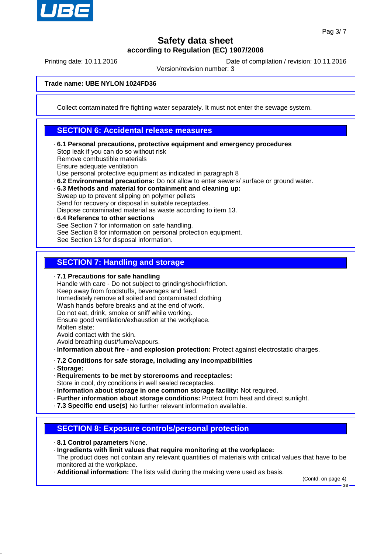

Printing date: 10.11.2016 **Date of compilation / revision: 10.11.2016** 

Version/revision number: 3

#### **Trade name: UBE NYLON 1024FD36**

Collect contaminated fire fighting water separately. It must not enter the sewage system.

## **SECTION 6: Accidental release measures**

- · **6.1 Personal precautions, protective equipment and emergency procedures** Stop leak if you can do so without risk Remove combustible materials Ensure adequate ventilation Use personal protective equipment as indicated in paragraph 8
- · **6.2 Environmental precautions:** Do not allow to enter sewers/ surface or ground water.
- · **6.3 Methods and material for containment and cleaning up:** Sweep up to prevent slipping on polymer pellets

Send for recovery or disposal in suitable receptacles.

- Dispose contaminated material as waste according to item 13.
- · **6.4 Reference to other sections** See Section 7 for information on safe handling. See Section 8 for information on personal protection equipment. See Section 13 for disposal information.

## **SECTION 7: Handling and storage**

· **7.1 Precautions for safe handling**

Handle with care - Do not subject to grinding/shock/friction. Keep away from foodstuffs, beverages and feed. Immediately remove all soiled and contaminated clothing Wash hands before breaks and at the end of work. Do not eat, drink, smoke or sniff while working. Ensure good ventilation/exhaustion at the workplace. Molten state: Avoid contact with the skin.

Avoid breathing dust/fume/vapours.

- · **Information about fire and explosion protection:** Protect against electrostatic charges.
- · **7.2 Conditions for safe storage, including any incompatibilities**
- · **Storage:**
- · **Requirements to be met by storerooms and receptacles:** Store in cool, dry conditions in well sealed receptacles.
- · **Information about storage in one common storage facility:** Not required.
- · **Further information about storage conditions:** Protect from heat and direct sunlight.
- · **7.3 Specific end use(s)** No further relevant information available.

## **SECTION 8: Exposure controls/personal protection**

- · **8.1 Control parameters** None.
- · **Ingredients with limit values that require monitoring at the workplace:** The product does not contain any relevant quantities of materials with critical values that have to be monitored at the workplace.
- · **Additional information:** The lists valid during the making were used as basis.

(Contd. on page 4)

GB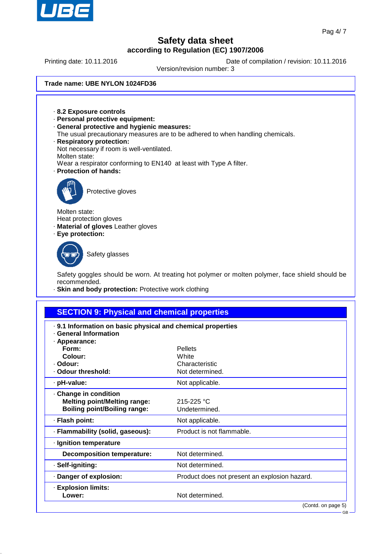

Printing date: 10.11.2016 **Date of compilation / revision: 10.11.2016** 

Version/revision number: 3

#### **Trade name: UBE NYLON 1024FD36**

· **8.2 Exposure controls** · **Personal protective equipment:** · **General protective and hygienic measures:** The usual precautionary measures are to be adhered to when handling chemicals. · **Respiratory protection:** Not necessary if room is well-ventilated. Molten state: Wear a respirator conforming to EN140 at least with Type A filter. · **Protection of hands:** Protective gloves Molten state: Heat protection gloves · **Material of gloves** Leather gloves · **Eye protection:** Safety glasses Safety goggles should be worn. At treating hot polymer or molten polymer, face shield should be recommended. **Skin and body protection: Protective work clothing SECTION 9: Physical and chemical properties** · **9.1 Information on basic physical and chemical properties General Information** · **Appearance:**

| · Appearance:<br>Form:<br>Colour:<br>· Odour:<br>· Odour threshold:                               | <b>Pellets</b><br>White<br>Characteristic<br>Not determined. |
|---------------------------------------------------------------------------------------------------|--------------------------------------------------------------|
| · pH-value:                                                                                       | Not applicable.                                              |
| Change in condition<br><b>Melting point/Melting range:</b><br><b>Boiling point/Boiling range:</b> | $215 - 225$ °C<br>Undetermined.                              |
| · Flash point:                                                                                    | Not applicable.                                              |
| · Flammability (solid, gaseous):                                                                  | Product is not flammable.                                    |
| · Ignition temperature                                                                            |                                                              |
| <b>Decomposition temperature:</b>                                                                 | Not determined.                                              |
| · Self-igniting:                                                                                  | Not determined.                                              |
| Danger of explosion:                                                                              | Product does not present an explosion hazard.                |
| <b>Explosion limits:</b><br>Lower:                                                                | Not determined.                                              |

GB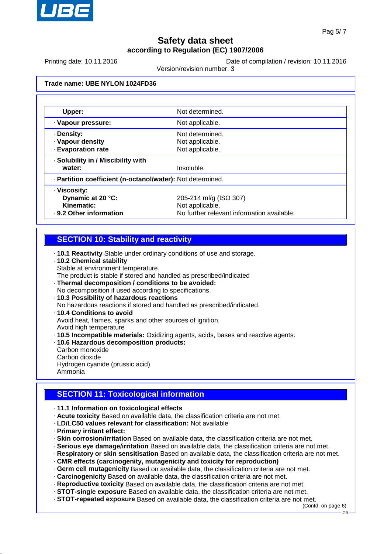

Printing date: 10.11.2016 **Date of compilation / revision: 10.11.2016** 

Version/revision number: 3

#### **Trade name: UBE NYLON 1024FD36**

| Upper:                                                     | Not determined.                            |  |  |  |
|------------------------------------------------------------|--------------------------------------------|--|--|--|
| · Vapour pressure:                                         | Not applicable.                            |  |  |  |
| · Density:                                                 | Not determined.                            |  |  |  |
| · Vapour density                                           | Not applicable.                            |  |  |  |
| <b>Evaporation rate</b>                                    | Not applicable.                            |  |  |  |
| · Solubility in / Miscibility with                         |                                            |  |  |  |
| water:                                                     | Insoluble.                                 |  |  |  |
| - Partition coefficient (n-octanol/water): Not determined. |                                            |  |  |  |
| · Viscosity:                                               |                                            |  |  |  |
| Dynamic at 20 °C:                                          | 205-214 ml/g (ISO 307)                     |  |  |  |
| Kinematic:                                                 | Not applicable.                            |  |  |  |
| . 9.2 Other information                                    | No further relevant information available. |  |  |  |

## **SECTION 10: Stability and reactivity**

- · **10.1 Reactivity** Stable under ordinary conditions of use and storage.
- · **10.2 Chemical stability**
- Stable at environment temperature.

The product is stable if stored and handled as prescribed/indicated

- · **Thermal decomposition / conditions to be avoided:**
- No decomposition if used according to specifications. · **10.3 Possibility of hazardous reactions**
- No hazardous reactions if stored and handled as prescribed/indicated.
- · **10.4 Conditions to avoid** Avoid heat, flames, sparks and other sources of ignition. Avoid high temperature
- · **10.5 Incompatible materials:** Oxidizing agents, acids, bases and reactive agents.
- · **10.6 Hazardous decomposition products:**
- Carbon monoxide Carbon dioxide Hydrogen cyanide (prussic acid) Ammonia

## **SECTION 11: Toxicological information**

- · **11.1 Information on toxicological effects**
- · **Acute toxicity** Based on available data, the classification criteria are not met.
- · **LD/LC50 values relevant for classification:** Not available
- · **Primary irritant effect:**
- · **Skin corrosion/irritation** Based on available data, the classification criteria are not met.
- · **Serious eye damage/irritation** Based on available data, the classification criteria are not met.
- · **Respiratory or skin sensitisation** Based on available data, the classification criteria are not met.
- · **CMR effects (carcinogenity, mutagenicity and toxicity for reproduction)**
- · **Germ cell mutagenicity** Based on available data, the classification criteria are not met.
- · **Carcinogenicity** Based on available data, the classification criteria are not met.
- · **Reproductive toxicity** Based on available data, the classification criteria are not met.
- · **STOT-single exposure** Based on available data, the classification criteria are not met.
- · **STOT-repeated exposure** Based on available data, the classification criteria are not met.

(Contd. on page 6)

GB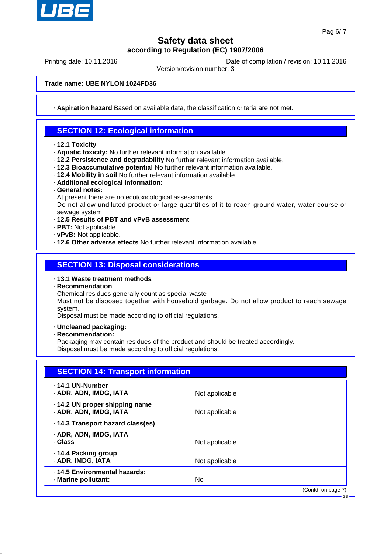

Printing date: 10.11.2016 **Date of compilation / revision: 10.11.2016** 

Version/revision number: 3

**Trade name: UBE NYLON 1024FD36**

· **Aspiration hazard** Based on available data, the classification criteria are not met.

## **SECTION 12: Ecological information**

- · **12.1 Toxicity**
- · **Aquatic toxicity:** No further relevant information available.
- · **12.2 Persistence and degradability** No further relevant information available.
- · **12.3 Bioaccumulative potential** No further relevant information available.
- · **12.4 Mobility in soil** No further relevant information available.
- · **Additional ecological information:**
- · **General notes:**
- At present there are no ecotoxicological assessments.

Do not allow undiluted product or large quantities of it to reach ground water, water course or sewage system.

- · **12.5 Results of PBT and vPvB assessment**
- · **PBT:** Not applicable.
- · **vPvB:** Not applicable.
- · **12.6 Other adverse effects** No further relevant information available.

### **SECTION 13: Disposal considerations**

#### · **13.1 Waste treatment methods**

- · **Recommendation**
- Chemical residues generally count as special waste

Must not be disposed together with household garbage. Do not allow product to reach sewage system.

Disposal must be made according to official regulations.

- · **Uncleaned packaging:**
- · **Recommendation:**

Packaging may contain residues of the product and should be treated accordingly. Disposal must be made according to official regulations.

| <b>SECTION 14: Transport information</b>                 |                |                    |
|----------------------------------------------------------|----------------|--------------------|
| . 14.1 UN-Number<br>· ADR, ADN, IMDG, IATA               | Not applicable |                    |
| · 14.2 UN proper shipping name<br>· ADR, ADN, IMDG, IATA | Not applicable |                    |
| · 14.3 Transport hazard class(es)                        |                |                    |
| · ADR, ADN, IMDG, IATA                                   |                |                    |
| · Class                                                  | Not applicable |                    |
| ⋅ 14.4 Packing group                                     |                |                    |
| · ADR, IMDG, IATA                                        | Not applicable |                    |
| . 14.5 Environmental hazards:                            |                |                    |
| · Marine pollutant:                                      | No             |                    |
|                                                          |                | (Contd. on page 7) |